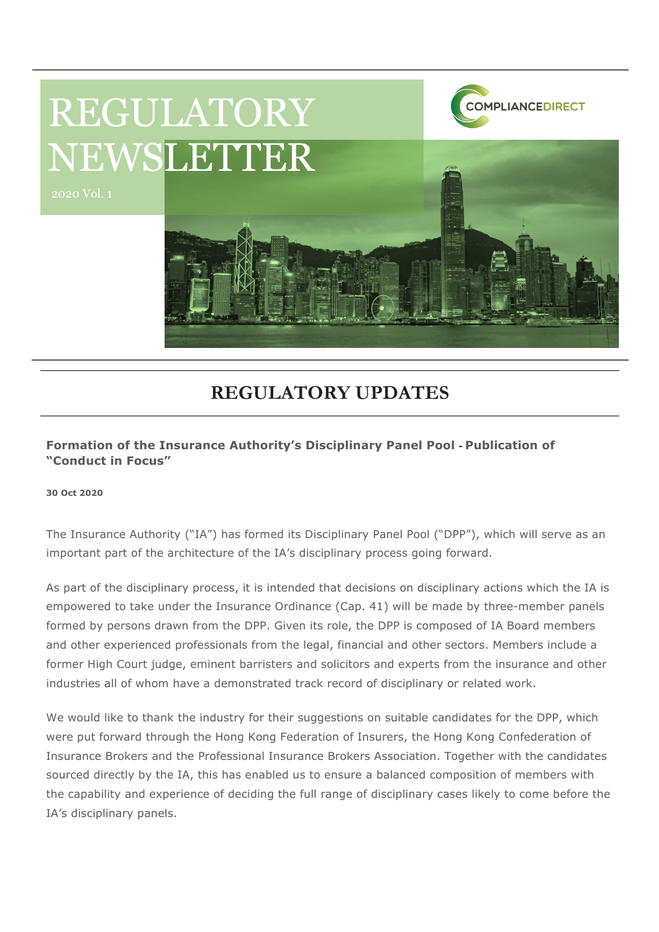

## **REGULATORY UPDATES**

## **Formation of the Insurance Authority's Disciplinary Panel Pool - Publication of "Conduct in Focus"**

**30 Oct 2020**

The Insurance Authority ("IA") has formed its Disciplinary Panel Pool ("DPP"), which will serve as an important part of the architecture of the IA's disciplinary process going forward.

As part of the disciplinary process, it is intended that decisions on disciplinary actions which the IA is empowered to take under the Insurance Ordinance (Cap. 41) will be made by three-member panels formed by persons drawn from the DPP. Given its role, the DPP is composed of IA Board members and other experienced professionals from the legal, financial and other sectors. Members include a former High Court judge, eminent barristers and solicitors and experts from the insurance and other industries all of whom have a demonstrated track record of disciplinary or related work.

We would like to thank the industry for their suggestions on suitable candidates for the DPP, which were put forward through the Hong Kong Federation of Insurers, the Hong Kong Confederation of Insurance Brokers and the Professional Insurance Brokers Association. Together with the candidates sourced directly by the IA, this has enabled us to ensure a balanced composition of members with the capability and experience of deciding the full range of disciplinary cases likely to come before the IA's disciplinary panels.